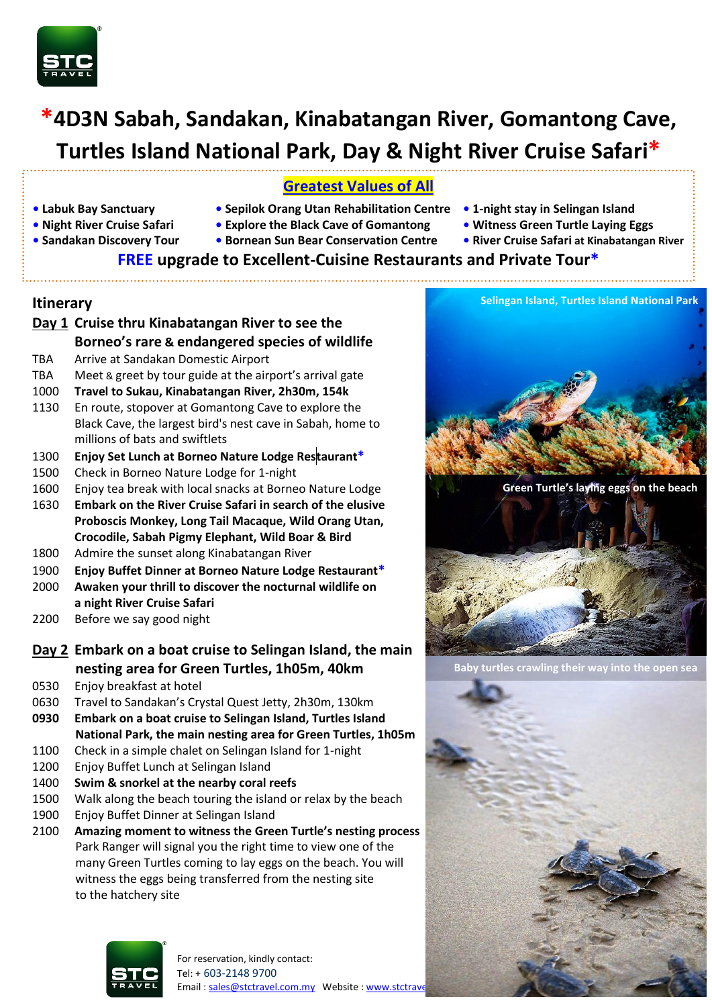

# **\*4D3N Sabah, Sandakan, Kinabatangan River, Gomantong Cave, Turtles Island National Park, Day & Night River Cruise Safari\***

### **Greatest Values of All**

- 
- **• Labuk Bay Sanctuary Sepilok Orang Utan Rehabilitation Centre 1-night stay in Selingan Island**
	-
- 
- **Night River Cruise Safari Explore the Black Cave of Gomantong Witness Green Turtle Laying Eggs**
- **Sandakan Discovery Tour Bornean Sun Bear Conservation Centre • River Cruise Safari at Kinabatangan River**
- 
- -

## **FREE upgrade to Excellent-Cuisine Restaurants and Private Tour\***

#### **Itinerary**

# **Day 1 Cruise thru Kinabatangan River to see the Borneo's rare & endangered species of wildlife**

- TBA Arrive at Sandakan Domestic Airport
- TBA Meet & greet by tour guide at the airport's arrival gate
- 1000 **Travel to Sukau, Kinabatangan River, 2h30m, 154k**
- 1130 En route, stopover at Gomantong Cave to explore the Black Cave, the largest bird's nest cave in Sabah, home to millions of bats and swiftlets
- 1300 **Enjoy Set Lunch at Borneo Nature Lodge Restaurant\***
- 1500 Check in Borneo Nature Lodge for 1-night
- 1600 Enjoy tea break with local snacks at Borneo Nature Lodge
- 1630 **Embark on the River Cruise Safari in search of the elusive Proboscis Monkey, Long Tail Macaque, Wild Orang Utan, Crocodile, Sabah Pigmy Elephant, Wild Boar & Bird**
- 1800 Admire the sunset along Kinabatangan River
- 1900 **Enjoy Buffet Dinner at Borneo Nature Lodge Restaurant\***
- 2000 **Awaken your thrill to discover the nocturnal wildlife on a night River Cruise Safari**
- 2200 Before we say good night
- **Day 2 Embark on a boat cruise to Selingan Island, the main nesting area for Green Turtles, 1h05m, 40km**
- 0530 Enjoy breakfast at hotel
- 0630 Travel to Sandakan's Crystal Quest Jetty, 2h30m, 130km
- **0930 Embark on a boat cruise to Selingan Island, Turtles Island National Park, the main nesting area for Green Turtles, 1h05m**
- 1100 Check in a simple chalet on Selingan Island for 1-night
- 1200 Enjoy Buffet Lunch at Selingan Island
- 1400 **Swim & snorkel at the nearby coral reefs**
- 1500 Walk along the beach touring the island or relax by the beach
- 1900 Enjoy Buffet Dinner at Selingan Island
- 2100 **Amazing moment to witness the Green Turtle's nesting process** Park Ranger will signal you the right time to view one of the many Green Turtles coming to lay eggs on the beach. You will witness the eggs being transferred from the nesting site to the hatchery site





**Green Turtle's laying eggs on the beach**



**Baby turtles crawling their way into the open sea**

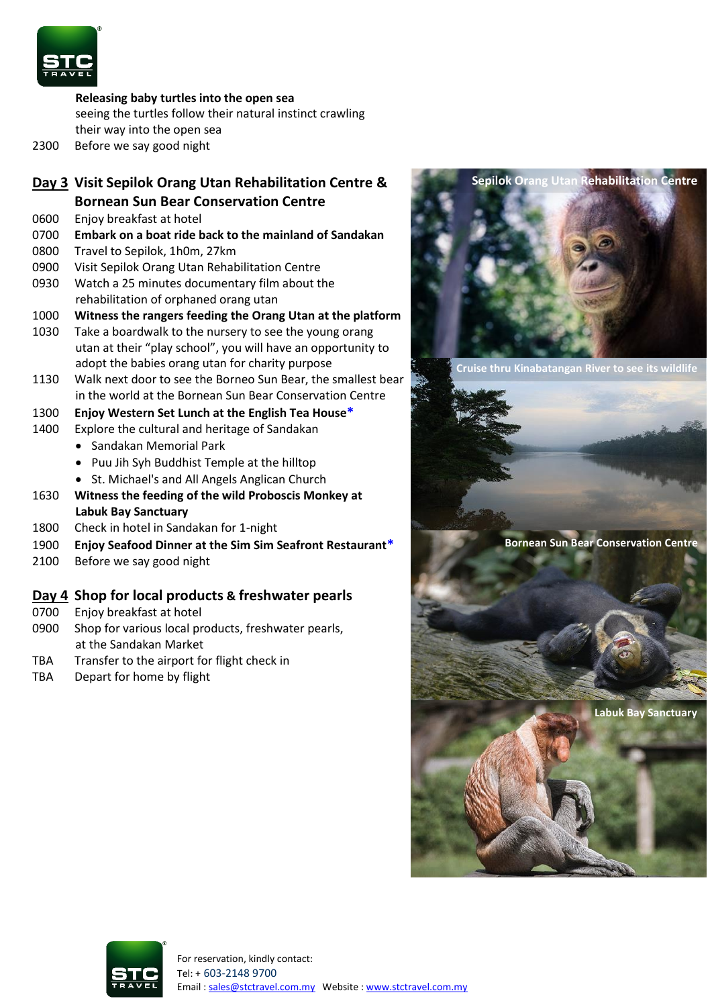

**Releasing baby turtles into the open sea** seeing the turtles follow their natural instinct crawling their way into the open sea

2300 Before we say good night

#### **Day 3 Visit Sepilok Orang Utan Rehabilitation Centre & Bornean Sun Bear Conservation Centre**

- 0600 Enjoy breakfast at hotel
- 0700 **Embark on a boat ride back to the mainland of Sandakan**
- 0800 Travel to Sepilok, 1h0m, 27km
- 0900 Visit Sepilok Orang Utan Rehabilitation Centre
- 0930 Watch a 25 minutes documentary film about the rehabilitation of orphaned orang utan
- 1000 **Witness the rangers feeding the Orang Utan at the platform**
- 1030 Take a boardwalk to the nursery to see the young orang utan at their "play school", you will have an opportunity to adopt the babies orang utan for charity purpose
- 1130 Walk next door to see the Borneo Sun Bear, the smallest bear in the world at the Bornean Sun Bear Conservation Centre
- 1300 **Enjoy Western Set Lunch at the English Tea House\***
- 1400 Explore the cultural and heritage of Sandakan
	- Sandakan Memorial Park
	- Puu Jih Syh Buddhist Temple at the hilltop
	- St. Michael's and All Angels Anglican Church
- 1630 **Witness the feeding of the wild Proboscis Monkey at Labuk Bay Sanctuary**
- 1800 Check in hotel in Sandakan for 1-night
- 1900 **Enjoy Seafood Dinner at the Sim Sim Seafront Restaurant\***
- 2100 Before we say good night

#### **Day 4 Shop for local products & freshwater pearls**

- 0700 Enjoy breakfast at hotel
- 0900 Shop for various local products, freshwater pearls, at the Sandakan Market
- TBA Transfer to the airport for flight check in
- TBA Depart for home by flight



**Cruise thru Kinabatangan River to see its wildlife**